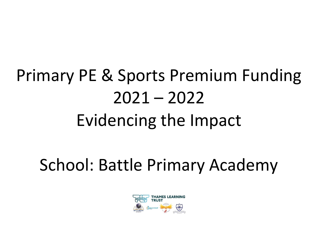## Primary PE & Sports Premium Funding 2021 – 2022 Evidencing the Impact

School: Battle Primary Academy

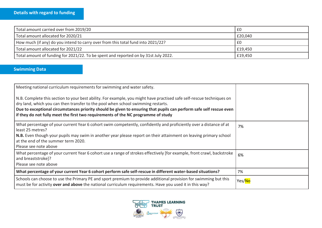| Total amount carried over from 2019/20                                              | £0      |
|-------------------------------------------------------------------------------------|---------|
| Total amount allocated for 2020/21                                                  | £20,040 |
| How much (if any) do you intend to carry over from this total fund into 2021/22?    | £0      |
| Total amount allocated for 2021/22                                                  | £19,450 |
| Total amount of funding for 2021/22. To be spent and reported on by 31st July 2022. | £19,450 |

## **Swimming Data**

| Meeting national curriculum requirements for swimming and water safety.                                                                                                                                                                                                                                                                                                                                               |        |
|-----------------------------------------------------------------------------------------------------------------------------------------------------------------------------------------------------------------------------------------------------------------------------------------------------------------------------------------------------------------------------------------------------------------------|--------|
| N.B. Complete this section to your best ability. For example, you might have practised safe self-rescue techniques on<br>dry land, which you can then transfer to the pool when school swimming restarts.<br>Due to exceptional circumstances priority should be given to ensuring that pupils can perform safe self rescue even<br>if they do not fully meet the first two requirements of the NC programme of study |        |
| What percentage of your current Year 6 cohort swim competently, confidently and proficiently over a distance of at<br>least 25 metres?                                                                                                                                                                                                                                                                                | 7%     |
| N.B. Even though your pupils may swim in another year please report on their attainment on leaving primary school<br>at the end of the summer term 2020.                                                                                                                                                                                                                                                              |        |
| Please see note above                                                                                                                                                                                                                                                                                                                                                                                                 |        |
| What percentage of your current Year 6 cohort use a range of strokes effectively [for example, front crawl, backstroke<br>and breaststroke]?<br>Please see note above                                                                                                                                                                                                                                                 | 6%     |
| What percentage of your current Year 6 cohort perform safe self-rescue in different water-based situations?                                                                                                                                                                                                                                                                                                           | 7%     |
|                                                                                                                                                                                                                                                                                                                                                                                                                       |        |
| Schools can choose to use the Primary PE and sport premium to provide additional provision for swimming but this<br>must be for activity over and above the national curriculum requirements. Have you used it in this way?                                                                                                                                                                                           | Yes/No |

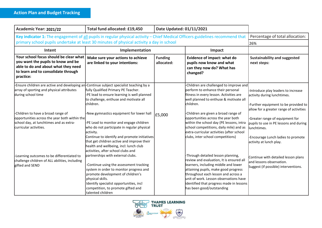| Academic Year: 2021/22                                                                                                                                                  | Total fund allocated: £19,450                                                                                                                                                                                                                                                                                                | Date Updated: 01/11/2021     |                                                                                                                                                                                                                                                                                                                          |                                                                                                                                                                                                     |
|-------------------------------------------------------------------------------------------------------------------------------------------------------------------------|------------------------------------------------------------------------------------------------------------------------------------------------------------------------------------------------------------------------------------------------------------------------------------------------------------------------------|------------------------------|--------------------------------------------------------------------------------------------------------------------------------------------------------------------------------------------------------------------------------------------------------------------------------------------------------------------------|-----------------------------------------------------------------------------------------------------------------------------------------------------------------------------------------------------|
| Key indicator 1: The engagement of all pupils in regular physical activity - Chief Medical Officers guidelines recommend that                                           | Percentage of total allocation:                                                                                                                                                                                                                                                                                              |                              |                                                                                                                                                                                                                                                                                                                          |                                                                                                                                                                                                     |
| primary school pupils undertake at least 30 minutes of physical activity a day in school                                                                                | 26%                                                                                                                                                                                                                                                                                                                          |                              |                                                                                                                                                                                                                                                                                                                          |                                                                                                                                                                                                     |
| Intent                                                                                                                                                                  | Implementation                                                                                                                                                                                                                                                                                                               |                              | Impact                                                                                                                                                                                                                                                                                                                   |                                                                                                                                                                                                     |
| Your school focus should be clear what<br>you want the pupils to know and be<br>able to do and about what they need<br>to learn and to consolidate through<br>practice: | Make sure your actions to achieve<br>are linked to your intentions:                                                                                                                                                                                                                                                          | <b>Funding</b><br>allocated: | Evidence of impact: what do<br>pupils now know and what<br>can they now do? What has<br>changed?                                                                                                                                                                                                                         | <b>Sustainability and suggested</b><br>next steps:                                                                                                                                                  |
| -Ensure children are active and developing an<br>array of sporting and physical attributes<br>during school time                                                        | Continue subject specialist teaching by a<br>fully Qualified Primary PE Teacher.<br>-PE lead to ensure learning is well planned<br>to challenge, enthuse and motivate all<br>children.                                                                                                                                       |                              | Children are challenged to improve and<br>perform to enhance their personal<br>fitness in every lesson. Activities are<br>well planned to enthuse & motivate all<br>children.                                                                                                                                            | -Introduce play leaders to increase<br>activity during lunchtimes.<br>-Further equipment to be provided to                                                                                          |
| -Children to have a broad range of<br>opportunities across the year both within the<br>school day, at lunchtimes and as extra-<br>curricular activities.                | -New gymnastics equipment for lower hall<br>-PE Lead to monitor and engage children<br>who do not participate in regular physical<br>activity.<br>Continue to identify and promote initiatives<br>that get children active and improve their<br>health and wellbeing, incl: lunch club<br>activities, after school clubs and | £5,000                       | -Children are given a broad range of<br>opportunities across the year both<br>within the school day (PE lessons, intra<br>school competitions, daily mile) and as<br>extra-curricular activities (after school<br>clubs, inter school competitions)                                                                      | allow for a greater range of activities<br>-Greater range of equipment for<br>pupils to use in PE lessons and during<br>unchtimes.<br>-Encourage Lunch ladies to promote<br>activity at lunch play. |
| -Learning outcomes to be differentiated to<br>challenge children of ALL abilities, including<br>gifted and SEND                                                         | partnerships with external clubs.<br>-Continue using the assessment tracking<br>system in order to monitor progress and<br>promote development of children's<br>physical skills.<br>Identify specialist opportunities, incl<br>competition, to promote gifted and<br>talented children                                       |                              | -Through detailed lesson planning,<br>review and evaluation, It is ensured all<br>learners, including middle and lower<br>attaining pupils, make good progress<br>throughout each lesson and across a<br>unit of work. Lesson observations have<br>identified that progress made in lessons<br>has been good/outstanding | Continue with detailed lesson plans<br>and lessons observation.<br>Suggest (if possible) interventions.                                                                                             |

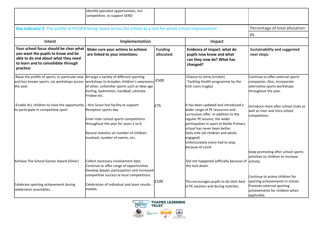|                                                                                                                                                                         | Identify specialist opportunities, incl<br>competition, to support SEND                                                                                                                                                        |                              |                                                                                                                                                                                                                                                                                                                                         |                                                                                                                                                                              |
|-------------------------------------------------------------------------------------------------------------------------------------------------------------------------|--------------------------------------------------------------------------------------------------------------------------------------------------------------------------------------------------------------------------------|------------------------------|-----------------------------------------------------------------------------------------------------------------------------------------------------------------------------------------------------------------------------------------------------------------------------------------------------------------------------------------|------------------------------------------------------------------------------------------------------------------------------------------------------------------------------|
| Key indicator 2: The profile of PESSPA being raised across the school as a tool for whole school improvement                                                            | Percentage of total allocation:                                                                                                                                                                                                |                              |                                                                                                                                                                                                                                                                                                                                         |                                                                                                                                                                              |
|                                                                                                                                                                         |                                                                                                                                                                                                                                |                              |                                                                                                                                                                                                                                                                                                                                         | 3%                                                                                                                                                                           |
| Intent                                                                                                                                                                  | Implementation                                                                                                                                                                                                                 |                              | Impact                                                                                                                                                                                                                                                                                                                                  |                                                                                                                                                                              |
| Your school focus should be clear what<br>you want the pupils to know and be<br>able to do and about what they need<br>to learn and to consolidate through<br>practice: | Make sure your actions to achieve<br>are linked to your intentions:                                                                                                                                                            | <b>Funding</b><br>allocated: | Evidence of impact: what do<br>pupils now know and what<br>can they now do? What has<br>changed?                                                                                                                                                                                                                                        | <b>Sustainability and suggested</b><br>next steps:                                                                                                                           |
| -Raise the profile of sports, in particular new<br>and less known sports, via workshops across<br>the year.                                                             | Arrange a variety of different sporting<br>workshops to broaden children's awareness<br>of other, unfamiliar sports such as New age<br>Kurling, badminton, handball, ultimate<br>Frisbee etc.                                  | E500                         | -Chance to shine (cricket)<br>-Tackling Health programme by the<br>Irish Lions (rugby)                                                                                                                                                                                                                                                  | Continue to offer external sports<br>companies. Also, incorporate<br>alternative sports workshops<br>throughout the year.                                                    |
| -Enable ALL children to have the opportunity<br>to participate in competitive sport                                                                                     | - Hire Scout Hut facility to support<br>Reception sports day<br>Enter inter school sports competitions<br>throughout the year for years 1 to 6.<br>Record statistics on number of children<br>involved, number of events, etc. | £75                          | It has been updated and introduced a<br>wider range of PE resources and<br>curriculum offer. In addition to the<br>regular PE lessons, the wider<br>participation in sport at Battle Primary<br>school has never been better.<br>Daily mile (all children and adults<br>engaged)<br>Unfortunately every had to stop<br>because of covid | Introduce more after school clubs as<br>well as inter and intra school<br>competitons.                                                                                       |
| Achieve The School Games Award (Silver)<br>Celebrate sporting achievement during                                                                                        | Collect necessary involvement data<br>Continue to offer range of opportunities<br>Develop deeper participation and increased<br>competitive success at local competitions.<br>Celebration of individual and team results       | £100                         | Did not happened (officially because of activity.<br>the lock down.<br>This encourages pupils to do their best<br>in PE sessions and during matches.                                                                                                                                                                                    | Keep promoting after school sports<br>activities to children to increase<br>Continue to praise children for<br>sporting achievements in school.<br>Promote external sporting |
| celebration assemblies.                                                                                                                                                 | medals                                                                                                                                                                                                                         |                              |                                                                                                                                                                                                                                                                                                                                         | achievements for children when<br>applicable.                                                                                                                                |

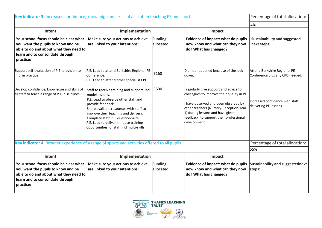| Key indicator 3: Increased confidence, knowledge and skills of all staff in teaching PE and sport                                                                       |                                                                                                                                                                                                                                                                                                                                          |                              |                                                                                                                                                                                                                                                                  | Percentage of total allocation:                                 |
|-------------------------------------------------------------------------------------------------------------------------------------------------------------------------|------------------------------------------------------------------------------------------------------------------------------------------------------------------------------------------------------------------------------------------------------------------------------------------------------------------------------------------|------------------------------|------------------------------------------------------------------------------------------------------------------------------------------------------------------------------------------------------------------------------------------------------------------|-----------------------------------------------------------------|
|                                                                                                                                                                         | 4%                                                                                                                                                                                                                                                                                                                                       |                              |                                                                                                                                                                                                                                                                  |                                                                 |
| Intent                                                                                                                                                                  | Implementation                                                                                                                                                                                                                                                                                                                           |                              | Impact                                                                                                                                                                                                                                                           |                                                                 |
| Your school focus should be clear what<br>you want the pupils to know and be<br>able to do and about what they need to<br>learn and to consolidate through<br>practice: | Make sure your actions to achieve<br>are linked to your intentions:                                                                                                                                                                                                                                                                      | Funding<br>allocated:        | Evidence of impact: what do pupils<br>now know and what can they now<br>do? What has changed?                                                                                                                                                                    | <b>Sustainability and suggested</b><br>next steps:              |
| Support self-evaluation of P.E. provision to<br>inform practice.                                                                                                        | P.E. Lead to attend Berkshire Regional PE<br>Conference.<br>P.E. Lead to attend other specialist CPD                                                                                                                                                                                                                                     | £160                         | Did not happened because of the lock<br>ldown.                                                                                                                                                                                                                   | Attend Berkshire Regional PE<br>Conference plus any CPD needed. |
| Develop confidence, knowledge and skills of<br>all staff to teach a range of P.E. disciplines                                                                           | Staff to receive training and support, incl<br>model lessons.<br>P.E. Lead to observe other staff and<br>provide feedback<br>Share available resources with staff to<br>improve their teaching and delivery.<br>Complete staff P.E. questionnaire<br>P.E. Lead to deliver in house training<br>opportunities for staff incl multi-skills | £600                         | regularly give support and advice to<br>colleagues to improve their quality in PE.<br>have observed and been observed by<br>other teachers (Nursery-Reception-Year<br>1) during lessons and have given<br>feedback: to support their professional<br>development | Increased confidence with staff<br>delivering PE lessons.       |
| Key indicator 4: Broader experience of a range of sports and activities offered to all pupils                                                                           |                                                                                                                                                                                                                                                                                                                                          |                              |                                                                                                                                                                                                                                                                  | Percentage of total allocation:                                 |
|                                                                                                                                                                         |                                                                                                                                                                                                                                                                                                                                          |                              |                                                                                                                                                                                                                                                                  | 55%                                                             |
| Intent                                                                                                                                                                  | Implementation                                                                                                                                                                                                                                                                                                                           |                              | Impact                                                                                                                                                                                                                                                           |                                                                 |
| Your school focus should be clear what<br>you want the pupils to know and be<br>able to do and about what they need to<br>learn and to consolidate through<br>practice: | Make sure your actions to achieve<br>are linked to your intentions:                                                                                                                                                                                                                                                                      | <b>Funding</b><br>allocated: | Evidence of impact: what do pupils<br>now know and what can they now<br>do? What has changed?                                                                                                                                                                    | Sustainability and suggestednext<br>steps:                      |

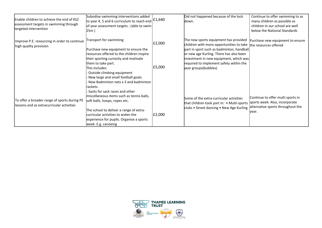| Enable children to achieve the end of KS2<br>assessment targets in swimming through<br>targeted intervention | Subsidise swimming interventions added<br>to year 4, 5 and 6 curriculum to reach end $\left  \text{£1,640} \right $<br>of year assessment targets: (able to swim<br>25m )                                                                                                                                            |                  | Did not happened because of the lock<br>ldown.                                                                                                                                                                                                                                                               | Continue to offer swimming to as<br>many children as possible as<br>children in our school are well<br>below the National Standards |
|--------------------------------------------------------------------------------------------------------------|----------------------------------------------------------------------------------------------------------------------------------------------------------------------------------------------------------------------------------------------------------------------------------------------------------------------|------------------|--------------------------------------------------------------------------------------------------------------------------------------------------------------------------------------------------------------------------------------------------------------------------------------------------------------|-------------------------------------------------------------------------------------------------------------------------------------|
| Improve P.E. resourcing in order to continue<br>high quality provision                                       | Transport for swimming<br>Purchase new equipment to ensure the<br>resources offered to the children inspire<br>their sporting curiosity and motivate<br>them to take part.<br>This includes:<br>Outside climbing equipment<br>New large and small football goals.                                                    | £2,000<br>£5,000 | The new sports equipment has provided<br>children with more opportunities to take the resources offered<br>part in sport such as badminton, handball<br>or new age Kurling. There has also been<br>investment in new equipment, which was<br>required to implement safety within the<br>year groups(bubbles) | Purchase new equipment to ensure                                                                                                    |
| To offer a broader range of sports during PE<br>lessons and as extracurricular activities                    | New Badminton nets x 3 and badminton<br>rackets.<br>Sacks for sack races and other<br>miscellaneous items such as tennis balls,<br>soft balls, hoops, ropes etc.<br>The school to deliver a range of extra-<br>curricular activities to widen the<br>experience for pupils. Organise a sports<br>week. E.g. canoeing | £2,000           | Some of the extra-curricular activities<br>that children took part in: • Multi-sports<br>clubs • Street dancing • New Age Kurling                                                                                                                                                                            | Continue to offer multi sports in<br>sports week. Also, incorporate<br>alternative sports throughout the<br>lvear.                  |

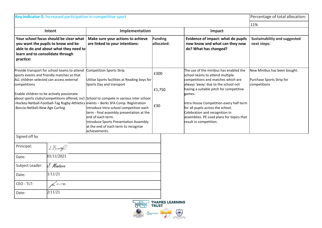| Key indicator 5: Increased participation in competitive sport |                                                                                                                                                                                      |                                                                                                                                                                                                                                                                                                                                                                                                                                                                                                         |                              |                                                                                                                                                                                                                                                                                                                                                                                                      | Percentage of total allocation:                                           |
|---------------------------------------------------------------|--------------------------------------------------------------------------------------------------------------------------------------------------------------------------------------|---------------------------------------------------------------------------------------------------------------------------------------------------------------------------------------------------------------------------------------------------------------------------------------------------------------------------------------------------------------------------------------------------------------------------------------------------------------------------------------------------------|------------------------------|------------------------------------------------------------------------------------------------------------------------------------------------------------------------------------------------------------------------------------------------------------------------------------------------------------------------------------------------------------------------------------------------------|---------------------------------------------------------------------------|
|                                                               |                                                                                                                                                                                      |                                                                                                                                                                                                                                                                                                                                                                                                                                                                                                         |                              | 11%                                                                                                                                                                                                                                                                                                                                                                                                  |                                                                           |
| Intent                                                        |                                                                                                                                                                                      | Implementation                                                                                                                                                                                                                                                                                                                                                                                                                                                                                          |                              |                                                                                                                                                                                                                                                                                                                                                                                                      |                                                                           |
| learn and to consolidate through<br>practice:                 | Your school focus should be clear what<br>you want the pupils to know and be<br>able to do and about what they need to                                                               | Make sure your actions to achieve<br>are linked to your intentions:                                                                                                                                                                                                                                                                                                                                                                                                                                     | <b>Funding</b><br>allocated: | Evidence of impact: what do pupils<br>now know and what can they now<br>do? What has changed?                                                                                                                                                                                                                                                                                                        | <b>Sustainability and suggested</b><br>next steps:                        |
| competitions<br>Boccia-Netball-New Age Curling                | Provide transport for school teams to attend<br>sports events and friendly matches so that<br>ALL children selected can access external<br>Enable children to be actively passionate | Competition Sports Strip<br>Utilise Sports facilities at Reading boys for<br>Sports Day and transport<br>about sports clubs/competitions offered, incl: School to compete in various inter school<br>-Hockey-Netball-Football-Tag Rugby-Athletics events – Berks SFA Comp. Registration<br>Introduce Intra school competition each<br>term - final assembly presentation at the<br>end of each term.<br>Introduce Sports Presentation Assembly<br>at the end of each term to recognise<br>achievements. | £300<br>£1,750<br>£30        | The use of the minibus has enabled the<br>school teams to attend multiple<br>competitions and matches which are<br>always 'away' due to the school not<br>having a suitable pitch for competitive<br>games.<br>Intra House Competition every half term<br>for all pupils across the school.<br>Celebration and recognition in<br>assemblies. PE Lead plans for topics that<br>result in competition. | New Minibus has been bought.<br>Purchase Sports Strip for<br>competitions |
| Signed off by                                                 |                                                                                                                                                                                      |                                                                                                                                                                                                                                                                                                                                                                                                                                                                                                         |                              |                                                                                                                                                                                                                                                                                                                                                                                                      |                                                                           |
| Principal:                                                    | L'Buridge                                                                                                                                                                            |                                                                                                                                                                                                                                                                                                                                                                                                                                                                                                         |                              |                                                                                                                                                                                                                                                                                                                                                                                                      |                                                                           |
| Date:                                                         | 01/11/2021                                                                                                                                                                           |                                                                                                                                                                                                                                                                                                                                                                                                                                                                                                         |                              |                                                                                                                                                                                                                                                                                                                                                                                                      |                                                                           |
| Subject Leader:                                               | J. Montero                                                                                                                                                                           |                                                                                                                                                                                                                                                                                                                                                                                                                                                                                                         |                              |                                                                                                                                                                                                                                                                                                                                                                                                      |                                                                           |
| Date:                                                         | 1/11/21                                                                                                                                                                              |                                                                                                                                                                                                                                                                                                                                                                                                                                                                                                         |                              |                                                                                                                                                                                                                                                                                                                                                                                                      |                                                                           |
| CEO - TLT:                                                    | $\leftarrow$                                                                                                                                                                         |                                                                                                                                                                                                                                                                                                                                                                                                                                                                                                         |                              |                                                                                                                                                                                                                                                                                                                                                                                                      |                                                                           |
| Date:                                                         | 2/11/21                                                                                                                                                                              |                                                                                                                                                                                                                                                                                                                                                                                                                                                                                                         |                              |                                                                                                                                                                                                                                                                                                                                                                                                      |                                                                           |
| <b>THAMES LEARNING</b><br><b>TRUST</b>                        |                                                                                                                                                                                      |                                                                                                                                                                                                                                                                                                                                                                                                                                                                                                         |                              |                                                                                                                                                                                                                                                                                                                                                                                                      |                                                                           |